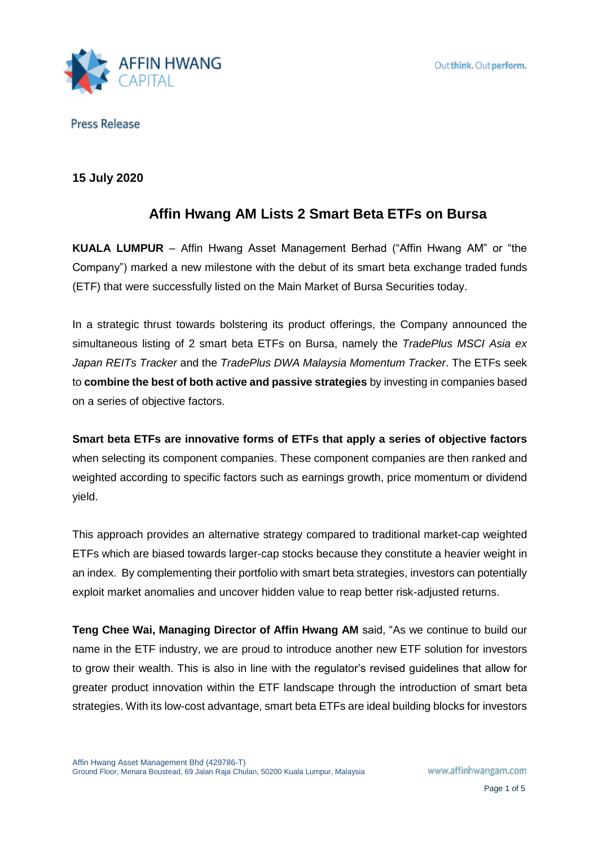

## **15 July 2020**

# **Affin Hwang AM Lists 2 Smart Beta ETFs on Bursa**

**KUALA LUMPUR** – Affin Hwang Asset Management Berhad ("Affin Hwang AM" or "the Company") marked a new milestone with the debut of its smart beta exchange traded funds (ETF) that were successfully listed on the Main Market of Bursa Securities today.

In a strategic thrust towards bolstering its product offerings, the Company announced the simultaneous listing of 2 smart beta ETFs on Bursa, namely the *TradePlus MSCI Asia ex Japan REITs Tracker* and the *TradePlus DWA Malaysia Momentum Tracker*. The ETFs seek to **combine the best of both active and passive strategies** by investing in companies based on a series of objective factors.

**Smart beta ETFs are innovative forms of ETFs that apply a series of objective factors**  when selecting its component companies. These component companies are then ranked and weighted according to specific factors such as earnings growth, price momentum or dividend yield.

This approach provides an alternative strategy compared to traditional market-cap weighted ETFs which are biased towards larger-cap stocks because they constitute a heavier weight in an index. By complementing their portfolio with smart beta strategies, investors can potentially exploit market anomalies and uncover hidden value to reap better risk-adjusted returns.

**Teng Chee Wai, Managing Director of Affin Hwang AM** said, "As we continue to build our name in the ETF industry, we are proud to introduce another new ETF solution for investors to grow their wealth. This is also in line with the regulator's revised guidelines that allow for greater product innovation within the ETF landscape through the introduction of smart beta strategies. With its low-cost advantage, smart beta ETFs are ideal building blocks for investors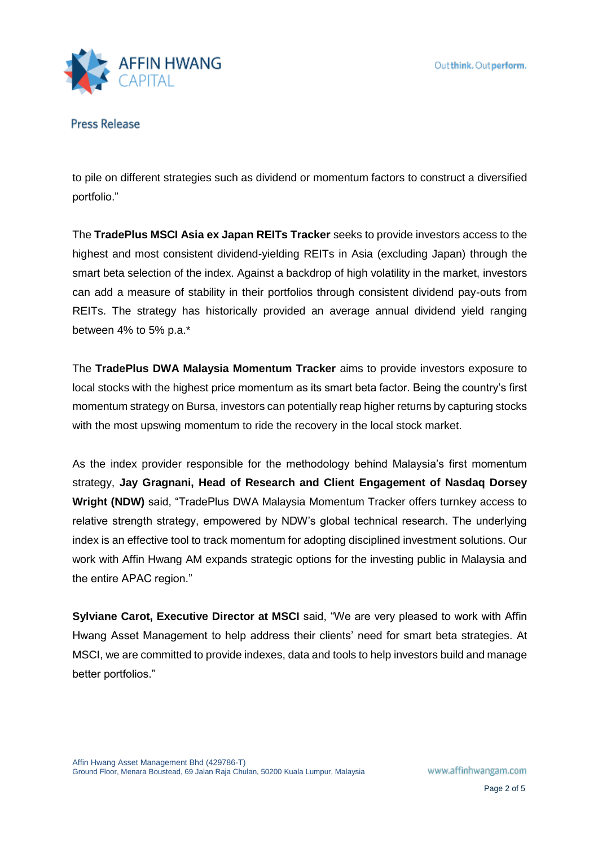

to pile on different strategies such as dividend or momentum factors to construct a diversified portfolio."

The **TradePlus MSCI Asia ex Japan REITs Tracker** seeks to provide investors access to the highest and most consistent dividend-yielding REITs in Asia (excluding Japan) through the smart beta selection of the index. Against a backdrop of high volatility in the market, investors can add a measure of stability in their portfolios through consistent dividend pay-outs from REITs. The strategy has historically provided an average annual dividend yield ranging between 4% to 5% p.a.\*

The **TradePlus DWA Malaysia Momentum Tracker** aims to provide investors exposure to local stocks with the highest price momentum as its smart beta factor. Being the country's first momentum strategy on Bursa, investors can potentially reap higher returns by capturing stocks with the most upswing momentum to ride the recovery in the local stock market.

As the index provider responsible for the methodology behind Malaysia's first momentum strategy, **Jay Gragnani, Head of Research and Client Engagement of Nasdaq Dorsey Wright (NDW)** said, "TradePlus DWA Malaysia Momentum Tracker offers turnkey access to relative strength strategy, empowered by NDW's global technical research. The underlying index is an effective tool to track momentum for adopting disciplined investment solutions. Our work with Affin Hwang AM expands strategic options for the investing public in Malaysia and the entire APAC region."

**Sylviane Carot, Executive Director at MSCI** said, "We are very pleased to work with Affin Hwang Asset Management to help address their clients' need for smart beta strategies. At MSCI, we are committed to provide indexes, data and tools to help investors build and manage better portfolios."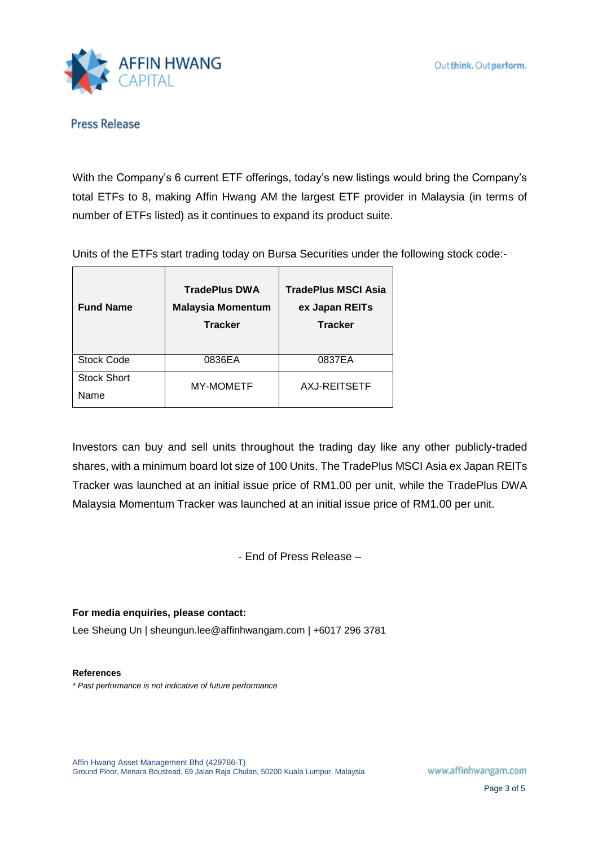

With the Company's 6 current ETF offerings, today's new listings would bring the Company's total ETFs to 8, making Affin Hwang AM the largest ETF provider in Malaysia (in terms of number of ETFs listed) as it continues to expand its product suite.

Units of the ETFs start trading today on Bursa Securities under the following stock code:-

| <b>Fund Name</b>           | <b>TradePlus DWA</b><br><b>Malaysia Momentum</b><br><b>Tracker</b> | <b>TradePlus MSCI Asia</b><br>ex Japan REITs<br><b>Tracker</b> |
|----------------------------|--------------------------------------------------------------------|----------------------------------------------------------------|
| <b>Stock Code</b>          | 0836EA                                                             | 0837EA                                                         |
| <b>Stock Short</b><br>Name | <b>MY-MOMETF</b>                                                   | AXJ-REITSETF                                                   |

Investors can buy and sell units throughout the trading day like any other publicly-traded shares, with a minimum board lot size of 100 Units. The TradePlus MSCI Asia ex Japan REITs Tracker was launched at an initial issue price of RM1.00 per unit, while the TradePlus DWA Malaysia Momentum Tracker was launched at an initial issue price of RM1.00 per unit.

- End of Press Release –

### **For media enquiries, please contact:**

Lee Sheung Un | sheungun.lee@affinhwangam.com | +6017 296 3781

#### **References**

*\* Past performance is not indicative of future performance*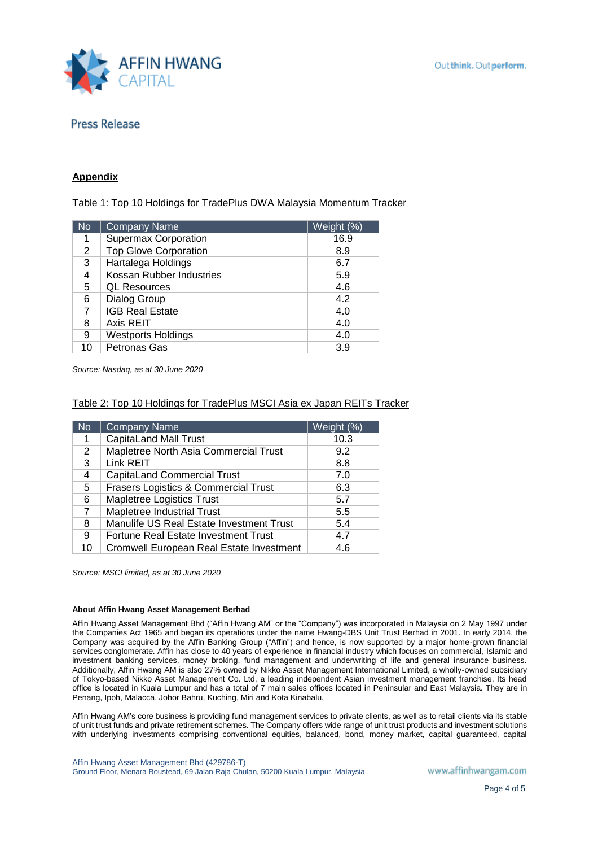

#### **Appendix**

Table 1: Top 10 Holdings for TradePlus DWA Malaysia Momentum Tracker

| <b>No</b> | <b>Company Name</b>          | Weight (%) |
|-----------|------------------------------|------------|
| 1         | <b>Supermax Corporation</b>  | 16.9       |
| 2         | <b>Top Glove Corporation</b> | 8.9        |
| 3         | Hartalega Holdings           | 6.7        |
| 4         | Kossan Rubber Industries     | 5.9        |
| 5         | <b>QL Resources</b>          | 4.6        |
| 6         | Dialog Group                 | 4.2        |
| 7         | <b>IGB Real Estate</b>       | 4.0        |
| 8         | Axis REIT                    | 4.0        |
| 9         | <b>Westports Holdings</b>    | 4.0        |
| 10        | Petronas Gas                 | 3.9        |

*Source: Nasdaq, as at 30 June 2020*

### Table 2: Top 10 Holdings for TradePlus MSCI Asia ex Japan REITs Tracker

| <b>No</b> | <b>Company Name</b>                      | Weight (%) |
|-----------|------------------------------------------|------------|
| 1         | <b>CapitaLand Mall Trust</b>             | 10.3       |
| 2         | Mapletree North Asia Commercial Trust    | 9.2        |
| 3         | Link REIT                                | 8.8        |
| 4         | <b>CapitaLand Commercial Trust</b>       | 7.0        |
| 5         | Frasers Logistics & Commercial Trust     | 6.3        |
| 6         | Mapletree Logistics Trust                | 5.7        |
| 7         | <b>Mapletree Industrial Trust</b>        | 5.5        |
| 8         | Manulife US Real Estate Investment Trust | 5.4        |
| 9         | Fortune Real Estate Investment Trust     | 4.7        |
| 10        | Cromwell European Real Estate Investment | 4.6        |

*Source: MSCI limited, as at 30 June 2020*

#### **About Affin Hwang Asset Management Berhad**

Affin Hwang Asset Management Bhd ("Affin Hwang AM" or the "Company") was incorporated in Malaysia on 2 May 1997 under the Companies Act 1965 and began its operations under the name Hwang-DBS Unit Trust Berhad in 2001. In early 2014, the Company was acquired by the Affin Banking Group ("Affin") and hence, is now supported by a major home-grown financial services conglomerate. Affin has close to 40 years of experience in financial industry which focuses on commercial, Islamic and investment banking services, money broking, fund management and underwriting of life and general insurance business. Additionally, Affin Hwang AM is also 27% owned by Nikko Asset Management International Limited, a wholly-owned subsidiary of Tokyo-based Nikko Asset Management Co. Ltd, a leading independent Asian investment management franchise. Its head office is located in Kuala Lumpur and has a total of 7 main sales offices located in Peninsular and East Malaysia. They are in Penang, Ipoh, Malacca, Johor Bahru, Kuching, Miri and Kota Kinabalu.

Affin Hwang AM's core business is providing fund management services to private clients, as well as to retail clients via its stable of unit trust funds and private retirement schemes. The Company offers wide range of unit trust products and investment solutions with underlying investments comprising conventional equities, balanced, bond, money market, capital guaranteed, capital